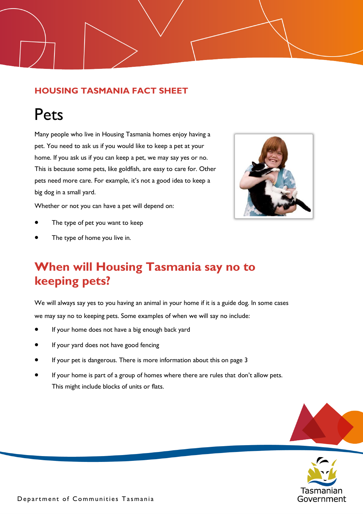#### **HOUSING TASMANIA FACT SHEET**

# Pets

Many people who live in Housing Tasmania homes enjoy having a pet. You need to ask us if you would like to keep a pet at your home. If you ask us if you can keep a pet, we may say yes or no. This is because some pets, like goldfish, are easy to care for. Other pets need more care. For example, it's not a good idea to keep a big dog in a small yard.

Whether or not you can have a pet will depend on:

- The type of pet you want to keep
- The type of home you live in.

## **When will Housing Tasmania say no to keeping pets?**

We will always say yes to you having an animal in your home if it is a guide dog. In some cases we may say no to keeping pets. Some examples of when we will say no include:

- If your home does not have a big enough back yard
- If your yard does not have good fencing
- If your pet is dangerous. There is more information about this on page 3
- If your home is part of a group of homes where there are rules that don't allow pets. This might include blocks of units or flats.



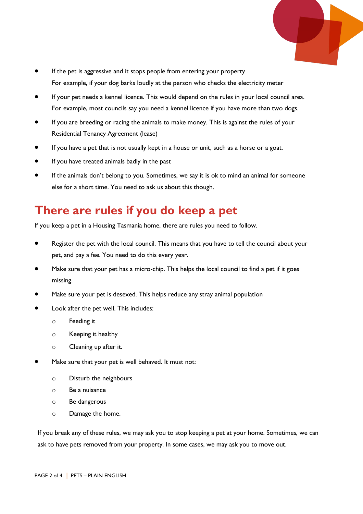

- If the pet is aggressive and it stops people from entering your property For example, if your dog barks loudly at the person who checks the electricity meter
- If your pet needs a kennel licence. This would depend on the rules in your local council area. For example, most councils say you need a kennel licence if you have more than two dogs.
- If you are breeding or racing the animals to make money. This is against the rules of your Residential Tenancy Agreement (lease)
- If you have a pet that is not usually kept in a house or unit, such as a horse or a goat.
- If you have treated animals badly in the past
- If the animals don't belong to you. Sometimes, we say it is ok to mind an animal for someone else for a short time. You need to ask us about this though.

### **There are rules if you do keep a pet**

If you keep a pet in a Housing Tasmania home, there are rules you need to follow.

- Register the pet with the local council. This means that you have to tell the council about your pet, and pay a fee. You need to do this every year.
- Make sure that your pet has a micro-chip. This helps the local council to find a pet if it goes missing.
- Make sure your pet is desexed. This helps reduce any stray animal population
- Look after the pet well. This includes:
	- o Feeding it
	- o Keeping it healthy
	- o Cleaning up after it.
- Make sure that your pet is well behaved. It must not:
	- o Disturb the neighbours
	- o Be a nuisance
	- o Be dangerous
	- o Damage the home.

If you break any of these rules, we may ask you to stop keeping a pet at your home. Sometimes, we can ask to have pets removed from your property. In some cases, we may ask you to move out.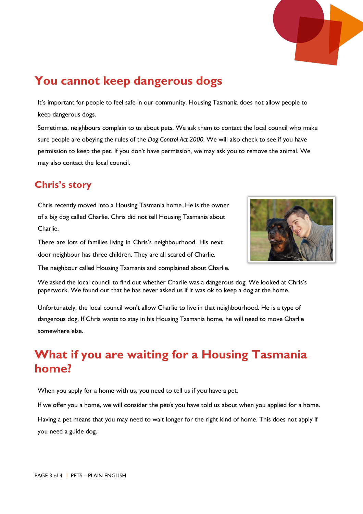

#### **You cannot keep dangerous dogs**

It's important for people to feel safe in our community. Housing Tasmania does not allow people to keep dangerous dogs.

Sometimes, neighbours complain to us about pets. We ask them to contact the local council who make sure people are obeying the rules of the *Dog Control Act 2000.* We will also check to see if you have permission to keep the pet. If you don't have permission, we may ask you to remove the animal. We may also contact the local council.

#### **Chris's story**

Chris recently moved into a Housing Tasmania home. He is the owner of a big dog called Charlie. Chris did not tell Housing Tasmania about Charlie.



There are lots of families living in Chris's neighbourhood. His next door neighbour has three children. They are all scared of Charlie. The neighbour called Housing Tasmania and complained about Charlie.

We asked the local council to find out whether Charlie was a dangerous dog. We looked at Chris's paperwork. We found out that he has never asked us if it was ok to keep a dog at the home.

Unfortunately, the local council won't allow Charlie to live in that neighbourhood. He is a type of dangerous dog. If Chris wants to stay in his Housing Tasmania home, he will need to move Charlie somewhere else.

# **What if you are waiting for a Housing Tasmania home?**

When you apply for a home with us, you need to tell us if you have a pet.

If we offer you a home, we will consider the pet/s you have told us about when you applied for a home.

Having a pet means that you may need to wait longer for the right kind of home. This does not apply if you need a guide dog.